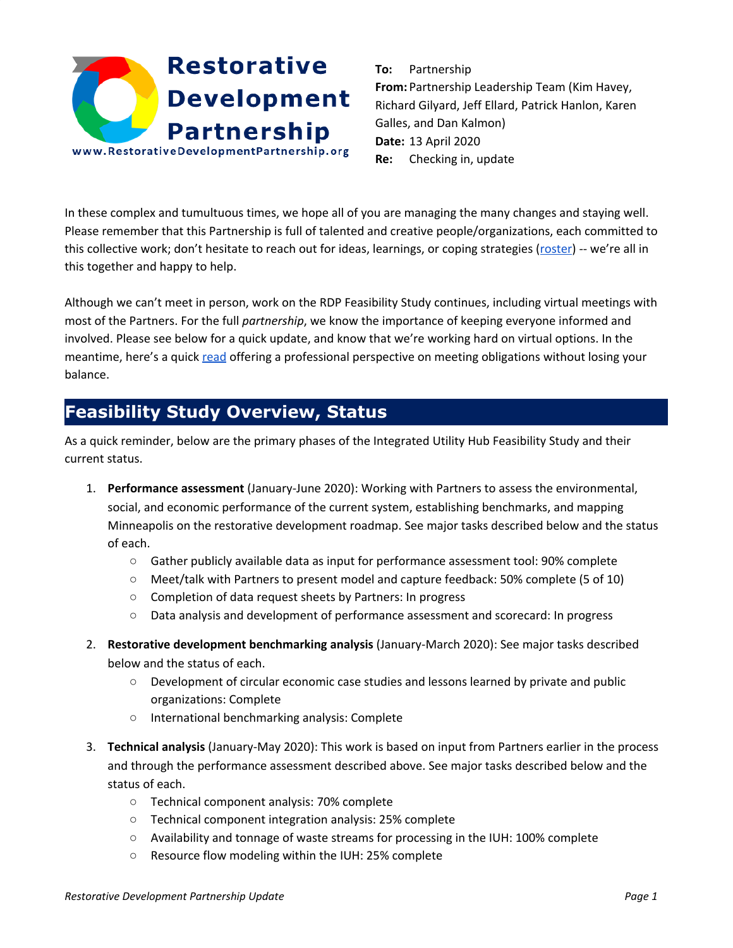# **Restorative Development Partnership** www.RestorativeDevelopmentPartnership.org

**To:** Partnership **From:** Partnership Leadership Team (Kim Havey, Richard Gilyard, Jeff Ellard, Patrick Hanlon, Karen Galles, and Dan Kalmon) **Date:** 13 April 2020 **Re:** Checking in, update

In these complex and tumultuous times, we hope all of you are managing the many changes and staying well. Please remember that this Partnership is full of talented and creative people/organizations, each committed to this collective work; don't hesitate to reach out for ideas, learnings, or coping strategies ([roster](https://drive.google.com/open?id=1vM_zFjhnlvsr1YRBqCMT2EeQGJBKScubA4OGETKYdcw)) -- we're all in this together and happy to help.

Although we can't meet in person, work on the RDP Feasibility Study continues, including virtual meetings with most of the Partners. For the full *partnership*, we know the importance of keeping everyone informed and involved. Please see below for a quick update, and know that we're working hard on virtual options. In the meantime, here's a quick [read](https://www.mprnews.org/story/2020/03/23/a-beautiful-world-how-about-some-inspiration-with-your-isolation) offering a professional perspective on meeting obligations without losing your balance.

# **Feasibility Study Overview, Status**

As a quick reminder, below are the primary phases of the Integrated Utility Hub Feasibility Study and their current status.

- 1. **Performance assessment** (January-June 2020): Working with Partners to assess the environmental, social, and economic performance of the current system, establishing benchmarks, and mapping Minneapolis on the restorative development roadmap. See major tasks described below and the status of each.
	- Gather publicly available data as input for performance assessment tool: 90% complete
	- Meet/talk with Partners to present model and capture feedback: 50% complete (5 of 10)
	- Completion of data request sheets by Partners: In progress
	- Data analysis and development of performance assessment and scorecard: In progress
- 2. **Restorative development benchmarking analysis** (January-March 2020): See major tasks described below and the status of each.
	- Development of circular economic case studies and lessons learned by private and public organizations: Complete
	- International benchmarking analysis: Complete
- 3. **Technical analysis** (January-May 2020): This work is based on input from Partners earlier in the process and through the performance assessment described above. See major tasks described below and the status of each.
	- Technical component analysis: 70% complete
	- Technical component integration analysis: 25% complete
	- Availability and tonnage of waste streams for processing in the IUH: 100% complete
	- Resource flow modeling within the IUH: 25% complete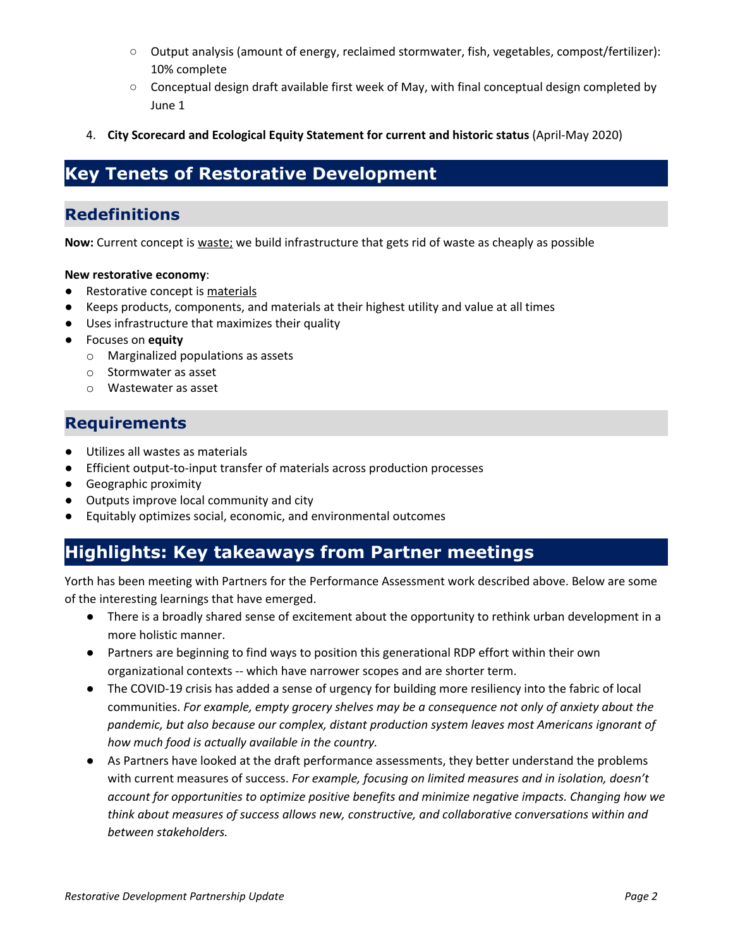- Output analysis (amount of energy, reclaimed stormwater, fish, vegetables, compost/fertilizer): 10% complete
- Conceptual design draft available first week of May, with final conceptual design completed by June 1
- 4. **City Scorecard and Ecological Equity Statement for current and historic status** (April-May 2020)

## **Key Tenets of Restorative Development**

### **Redefinitions**

**Now:** Current concept is waste; we build infrastructure that gets rid of waste as cheaply as possible

#### **New restorative economy**:

- Restorative concept is materials
- Keeps products, components, and materials at their highest utility and value at all times
- Uses infrastructure that maximizes their quality
- Focuses on **equity**
	- o Marginalized populations as assets
	- o Stormwater as asset
	- o Wastewater as asset

### **Requirements**

- Utilizes all wastes as materials
- Efficient output-to-input transfer of materials across production processes
- Geographic proximity
- Outputs improve local community and city
- Equitably optimizes social, economic, and environmental outcomes

# **Highlights: Key takeaways from Partner meetings**

Yorth has been meeting with Partners for the Performance Assessment work described above. Below are some of the interesting learnings that have emerged.

- There is a broadly shared sense of excitement about the opportunity to rethink urban development in a more holistic manner.
- Partners are beginning to find ways to position this generational RDP effort within their own organizational contexts -- which have narrower scopes and are shorter term.
- The COVID-19 crisis has added a sense of urgency for building more resiliency into the fabric of local communities. *For example, empty grocery shelves may be a consequence not only of anxiety about the pandemic, but also because our complex, distant production system leaves most Americans ignorant of how much food is actually available in the country.*
- As Partners have looked at the draft performance assessments, they better understand the problems with current measures of success. *For example, focusing on limited measures and in isolation, doesn't account for opportunities to optimize positive benefits and minimize negative impacts. Changing how we think about measures of success allows new, constructive, and collaborative conversations within and between stakeholders.*